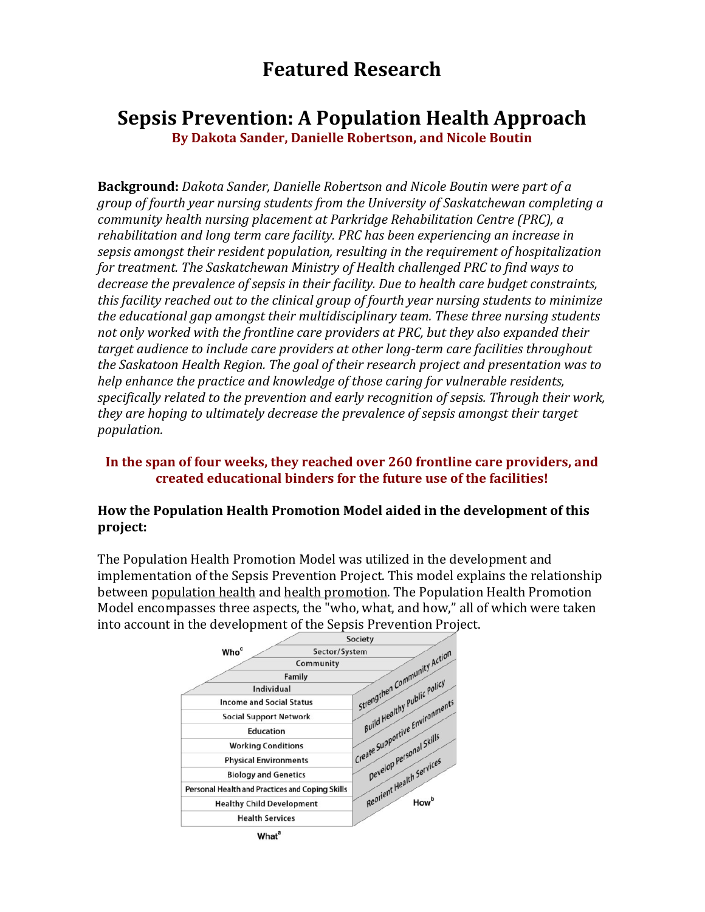# **Featured Research**

## **Sepsis Prevention: A Population Health Approach**

**By Dakota Sander, Danielle Robertson, and Nicole Boutin**

**Background:** *Dakota Sander, Danielle Robertson and Nicole Boutin were part of a group* of fourth year nursing students from the University of Saskatchewan completing a *community health nursing placement at Parkridge Rehabilitation Centre (PRC), a* rehabilitation and long term care facility. PRC has been experiencing an increase in sepsis amongst their resident population, resulting in the requirement of hospitalization *for treatment. The Saskatchewan Ministry of Health challenged PRC to find ways to decrease the prevalence of sepsis in their facility. Due to health care budget constraints, this facility reached out to the clinical group of fourth year nursing students to minimize the educational gap amongst their multidisciplinary team. These three nursing students* not only worked with the frontline care providers at PRC, but they also expanded their target audience to include care providers at other long-term care facilities throughout *the Saskatoon Health Region. The goal of their research project and presentation was to help* enhance the practice and knowledge of those caring for vulnerable residents, specifically related to the prevention and early recognition of sepsis. Through their work, *they are hoping to ultimately decrease the prevalence of sepsis amongst their target population.* 

## In the span of four weeks, they reached over 260 frontline care providers, and **created educational binders for the future use of the facilities!**

## **How the Population Health Promotion Model aided in the development of this project:**

The Population Health Promotion Model was utilized in the development and implementation of the Sepsis Prevention Project. This model explains the relationship between population health and health promotion. The Population Health Promotion Model encompasses three aspects, the "who, what, and how," all of which were taken into account in the development of the Sepsis Prevention Project.

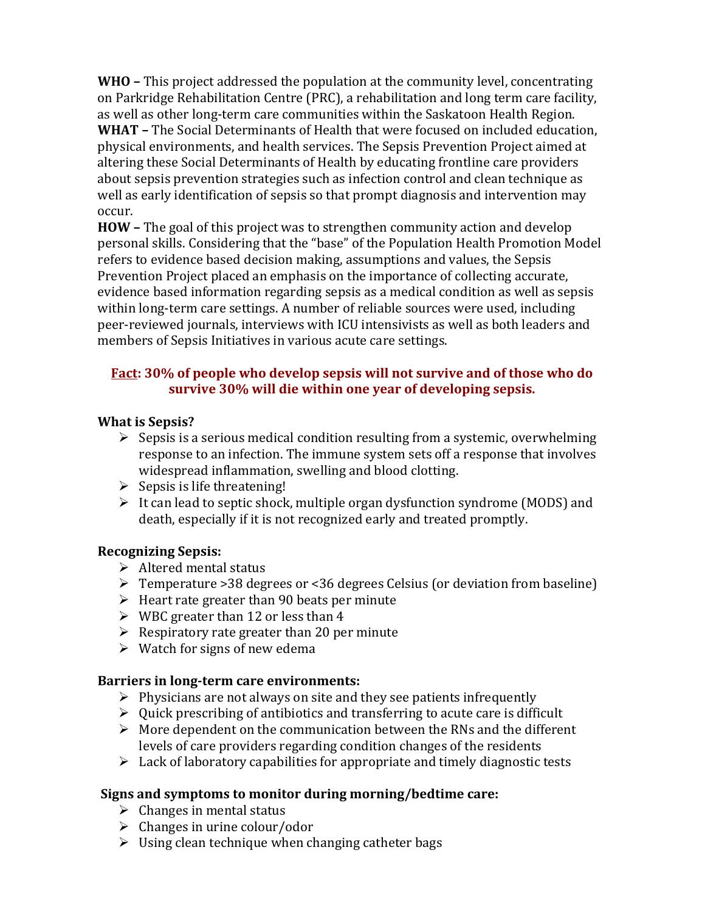**WHO** – This project addressed the population at the community level, concentrating on Parkridge Rehabilitation Centre (PRC), a rehabilitation and long term care facility, as well as other long-term care communities within the Saskatoon Health Region. **WHAT** – The Social Determinants of Health that were focused on included education, physical environments, and health services. The Sepsis Prevention Project aimed at altering these Social Determinants of Health by educating frontline care providers about sepsis prevention strategies such as infection control and clean technique as well as early identification of sepsis so that prompt diagnosis and intervention may occur. 

**HOW** – The goal of this project was to strengthen community action and develop personal skills. Considering that the "base" of the Population Health Promotion Model refers to evidence based decision making, assumptions and values, the Sepsis Prevention Project placed an emphasis on the importance of collecting accurate, evidence based information regarding sepsis as a medical condition as well as sepsis within long-term care settings. A number of reliable sources were used, including peer-reviewed journals, interviews with ICU intensivists as well as both leaders and members of Sepsis Initiatives in various acute care settings.

## Fact: 30% of people who develop sepsis will not survive and of those who do survive 30% will die within one year of developing sepsis.

## **What is Sepsis?**

- $\triangleright$  Sepsis is a serious medical condition resulting from a systemic, overwhelming response to an infection. The immune system sets off a response that involves widespread inflammation, swelling and blood clotting.
- $\triangleright$  Sepsis is life threatening!
- $\triangleright$  It can lead to septic shock, multiple organ dysfunction syndrome (MODS) and death, especially if it is not recognized early and treated promptly.

## **Recognizing Sepsis:**

- $\triangleright$  Altered mental status
- $\triangleright$  Temperature >38 degrees or <36 degrees Celsius (or deviation from baseline)
- $\triangleright$  Heart rate greater than 90 beats per minute
- $\triangleright$  WBC greater than 12 or less than 4
- $\triangleright$  Respiratory rate greater than 20 per minute
- $\triangleright$  Watch for signs of new edema

## **Barriers in long-term care environments:**

- $\triangleright$  Physicians are not always on site and they see patients infrequently
- $\triangleright$  Quick prescribing of antibiotics and transferring to acute care is difficult
- $\triangleright$  More dependent on the communication between the RNs and the different levels of care providers regarding condition changes of the residents
- $\triangleright$  Lack of laboratory capabilities for appropriate and timely diagnostic tests

## **Signs and symptoms to monitor during morning/bedtime care:**

- $\triangleright$  Changes in mental status
- $\triangleright$  Changes in urine colour/odor
- $\triangleright$  Using clean technique when changing catheter bags